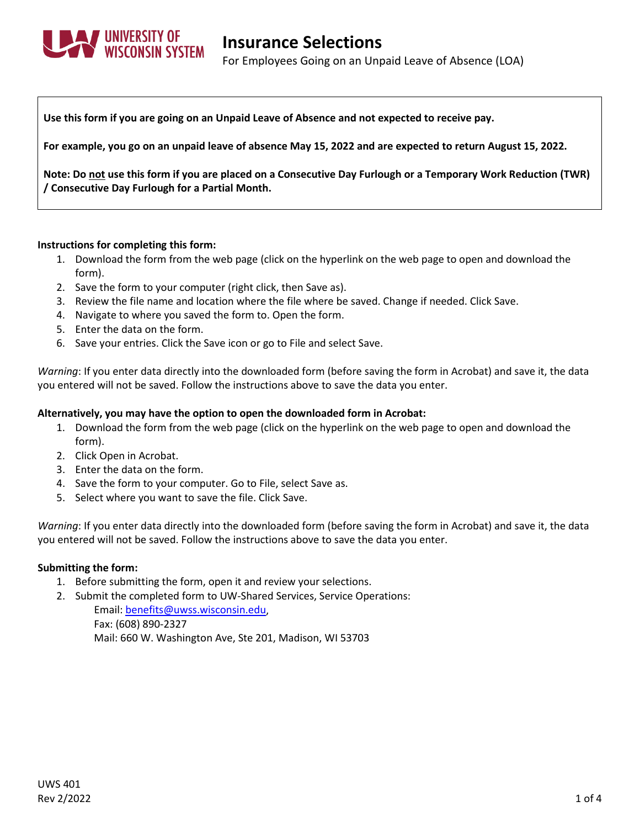

For Employees Going on an Unpaid Leave of Absence (LOA)

**Use this form if you are going on an Unpaid Leave of Absence and not expected to receive pay.** 

**For example, you go on an unpaid leave of absence May 15, 2022 and are expected to return August 15, 2022.**

**Note: Do not use this form if you are placed on a Consecutive Day Furlough or a Temporary Work Reduction (TWR) / Consecutive Day Furlough for a Partial Month.**

#### **Instructions for completing this form:**

- 1. Download the form from the web page (click on the hyperlink on the web page to open and download the form).
- 2. Save the form to your computer (right click, then Save as).
- 3. Review the file name and location where the file where be saved. Change if needed. Click Save.
- 4. Navigate to where you saved the form to. Open the form.
- 5. Enter the data on the form.
- 6. Save your entries. Click the Save icon or go to File and select Save.

*Warning*: If you enter data directly into the downloaded form (before saving the form in Acrobat) and save it, the data you entered will not be saved. Follow the instructions above to save the data you enter.

#### **Alternatively, you may have the option to open the downloaded form in Acrobat:**

- 1. Download the form from the web page (click on the hyperlink on the web page to open and download the form).
- 2. Click Open in Acrobat.
- 3. Enter the data on the form.
- 4. Save the form to your computer. Go to File, select Save as.
- 5. Select where you want to save the file. Click Save.

*Warning*: If you enter data directly into the downloaded form (before saving the form in Acrobat) and save it, the data you entered will not be saved. Follow the instructions above to save the data you enter.

#### **Submitting the form:**

- 1. Before submitting the form, open it and review your selections.
- 2. Submit the completed form to UW-Shared Services, Service Operations: Email: [benefits@uwss.wisconsin.edu,](mailto:benefits@uwss.wisconsin.edu) Fax: (608) 890-2327
	- Mail: 660 W. Washington Ave, Ste 201, Madison, WI 53703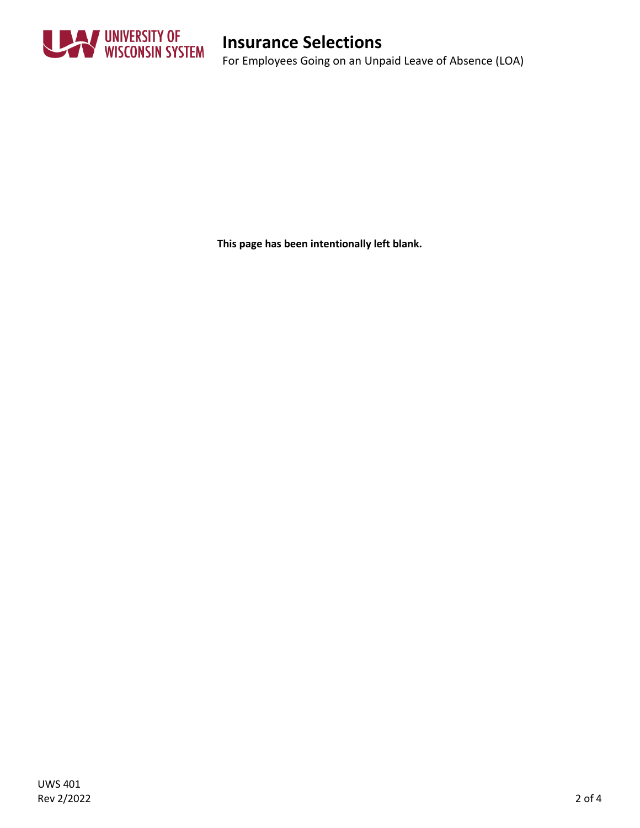

# **Insurance Selections**

For Employees Going on an Unpaid Leave of Absence (LOA)

**This page has been intentionally left blank.**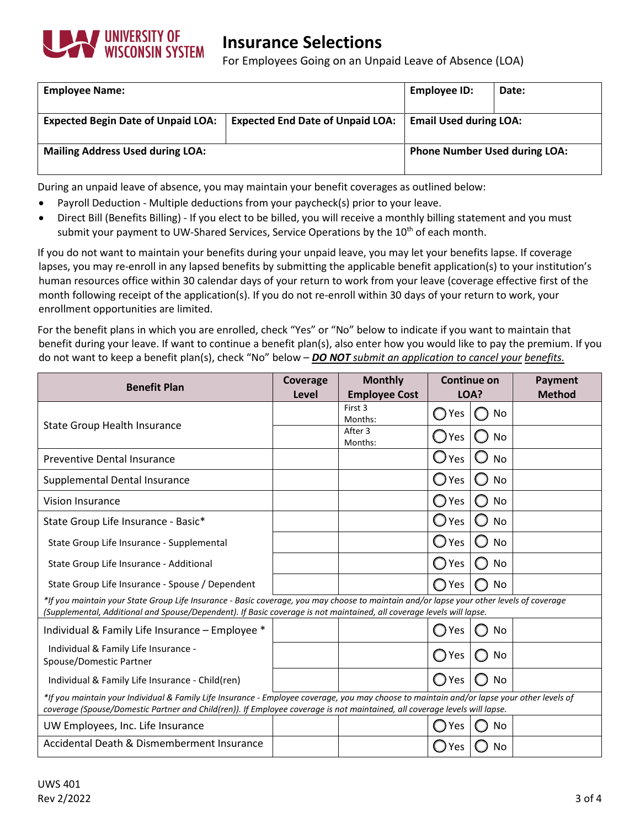

# **Insurance Selections**

For Employees Going on an Unpaid Leave of Absence (LOA)

| <b>Employee Name:</b>                                                                |  | <b>Employee ID:</b>                  | Date: |  |
|--------------------------------------------------------------------------------------|--|--------------------------------------|-------|--|
| <b>Expected Begin Date of Unpaid LOA:</b><br><b>Expected End Date of Unpaid LOA:</b> |  | <b>Email Used during LOA:</b>        |       |  |
| <b>Mailing Address Used during LOA:</b>                                              |  | <b>Phone Number Used during LOA:</b> |       |  |

During an unpaid leave of absence, you may maintain your benefit coverages as outlined below:

- Payroll Deduction Multiple deductions from your paycheck(s) prior to your leave.
- Direct Bill (Benefits Billing) If you elect to be billed, you will receive a monthly billing statement and you must submit your payment to UW-Shared Services, Service Operations by the  $10^{th}$  of each month.

If you do not want to maintain your benefits during your unpaid leave, you may let your benefits lapse. If coverage lapses, you may re-enroll in any lapsed benefits by submitting the applicable benefit application(s) to your institution's human resources office within 30 calendar days of your return to work from your leave (coverage effective first of the month following receipt of the application(s). If you do not re-enroll within 30 days of your return to work, your enrollment opportunities are limited.

For the benefit plans in which you are enrolled, check "Yes" or "No" below to indicate if you want to maintain that benefit during your leave. If want to continue a benefit plan(s), also enter how you would like to pay the premium. If you do not want to keep a benefit plan(s), check "No" below – *DO NOT submit an application to cancel your benefits.*

| <b>Benefit Plan</b>                                                                                                                                                                                                                                                      | Coverage<br>Level | <b>Monthly</b><br><b>Employee Cost</b> | Continue on<br>LOA? |           | Payment<br><b>Method</b> |
|--------------------------------------------------------------------------------------------------------------------------------------------------------------------------------------------------------------------------------------------------------------------------|-------------------|----------------------------------------|---------------------|-----------|--------------------------|
| State Group Health Insurance                                                                                                                                                                                                                                             |                   | First 3<br>Months:                     | Yes<br>O            | No        |                          |
|                                                                                                                                                                                                                                                                          |                   | After 3<br>Months:                     | Yes                 | No        |                          |
| <b>Preventive Dental Insurance</b>                                                                                                                                                                                                                                       |                   |                                        | Yes                 | <b>No</b> |                          |
| Supplemental Dental Insurance                                                                                                                                                                                                                                            |                   |                                        | ( )<br>Yes          | No        |                          |
| <b>Vision Insurance</b>                                                                                                                                                                                                                                                  |                   |                                        | Yes                 | No        |                          |
| State Group Life Insurance - Basic*                                                                                                                                                                                                                                      |                   |                                        | <b>Yes</b><br>Ο     | No        |                          |
| State Group Life Insurance - Supplemental                                                                                                                                                                                                                                |                   |                                        | <b>Yes</b>          | <b>No</b> |                          |
| State Group Life Insurance - Additional                                                                                                                                                                                                                                  |                   |                                        | Yes                 | No        |                          |
| State Group Life Insurance - Spouse / Dependent                                                                                                                                                                                                                          |                   |                                        | Yes                 | No        |                          |
| *If you maintain your State Group Life Insurance - Basic coverage, you may choose to maintain and/or lapse your other levels of coverage<br>(Supplemental, Additional and Spouse/Dependent). If Basic coverage is not maintained, all coverage levels will lapse.        |                   |                                        |                     |           |                          |
| Individual & Family Life Insurance - Employee *                                                                                                                                                                                                                          |                   |                                        | Yes                 | No        |                          |
| Individual & Family Life Insurance -<br>Spouse/Domestic Partner                                                                                                                                                                                                          |                   |                                        | Yes<br>()           | No        |                          |
| Individual & Family Life Insurance - Child(ren)                                                                                                                                                                                                                          |                   |                                        | $\bigcirc$ Yes      | No        |                          |
| *If you maintain your Individual & Family Life Insurance - Employee coverage, you may choose to maintain and/or lapse your other levels of<br>coverage (Spouse/Domestic Partner and Child(ren)). If Employee coverage is not maintained, all coverage levels will lapse. |                   |                                        |                     |           |                          |
| UW Employees, Inc. Life Insurance                                                                                                                                                                                                                                        |                   |                                        | Yes                 | No        |                          |
| Accidental Death & Dismemberment Insurance                                                                                                                                                                                                                               |                   |                                        | Yes                 | No        |                          |